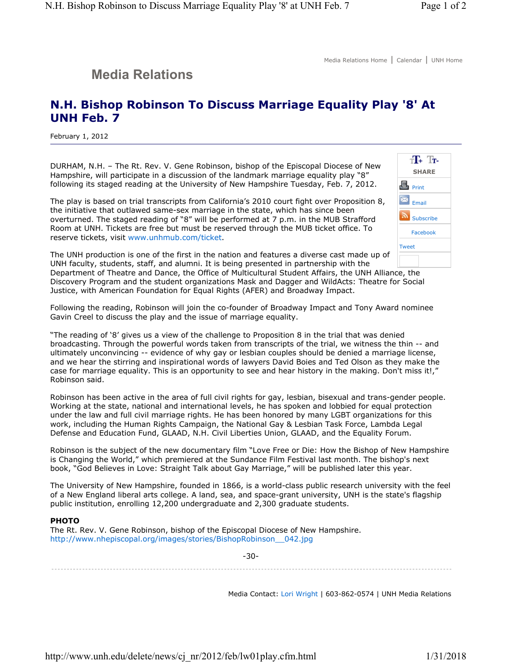## **Media Relations**

## **N.H. Bishop Robinson To Discuss Marriage Equality Play '8' At UNH Feb. 7**

February 1, 2012

DURHAM, N.H. – The Rt. Rev. V. Gene Robinson, bishop of the Episcopal Diocese of New Hampshire, will participate in a discussion of the landmark marriage equality play "8" following its staged reading at the University of New Hampshire Tuesday, Feb. 7, 2012.

The play is based on trial transcripts from California's 2010 court fight over Proposition 8, the initiative that outlawed same-sex marriage in the state, which has since been overturned. The staged reading of "8" will be performed at 7 p.m. in the MUB Strafford Room at UNH. Tickets are free but must be reserved through the MUB ticket office. To reserve tickets, visit www.unhmub.com/ticket.



The UNH production is one of the first in the nation and features a diverse cast made up of UNH faculty, students, staff, and alumni. It is being presented in partnership with the Department of Theatre and Dance, the Office of Multicultural Student Affairs, the UNH Alliance, the Discovery Program and the student organizations Mask and Dagger and WildActs: Theatre for Social Justice, with American Foundation for Equal Rights (AFER) and Broadway Impact.

Following the reading, Robinson will join the co-founder of Broadway Impact and Tony Award nominee Gavin Creel to discuss the play and the issue of marriage equality.

"The reading of '8' gives us a view of the challenge to Proposition 8 in the trial that was denied broadcasting. Through the powerful words taken from transcripts of the trial, we witness the thin -- and ultimately unconvincing -- evidence of why gay or lesbian couples should be denied a marriage license, and we hear the stirring and inspirational words of lawyers David Boies and Ted Olson as they make the case for marriage equality. This is an opportunity to see and hear history in the making. Don't miss it!," Robinson said.

Robinson has been active in the area of full civil rights for gay, lesbian, bisexual and trans-gender people. Working at the state, national and international levels, he has spoken and lobbied for equal protection under the law and full civil marriage rights. He has been honored by many LGBT organizations for this work, including the Human Rights Campaign, the National Gay & Lesbian Task Force, Lambda Legal Defense and Education Fund, GLAAD, N.H. Civil Liberties Union, GLAAD, and the Equality Forum.

Robinson is the subject of the new documentary film "Love Free or Die: How the Bishop of New Hampshire is Changing the World," which premiered at the Sundance Film Festival last month. The bishop's next book, "God Believes in Love: Straight Talk about Gay Marriage," will be published later this year.

The University of New Hampshire, founded in 1866, is a world-class public research university with the feel of a New England liberal arts college. A land, sea, and space-grant university, UNH is the state's flagship public institution, enrolling 12,200 undergraduate and 2,300 graduate students.

## **PHOTO**

The Rt. Rev. V. Gene Robinson, bishop of the Episcopal Diocese of New Hampshire. http://www.nhepiscopal.org/images/stories/BishopRobinson\_\_042.jpg

-30-

Media Contact: Lori Wright | 603-862-0574 | UNH Media Relations